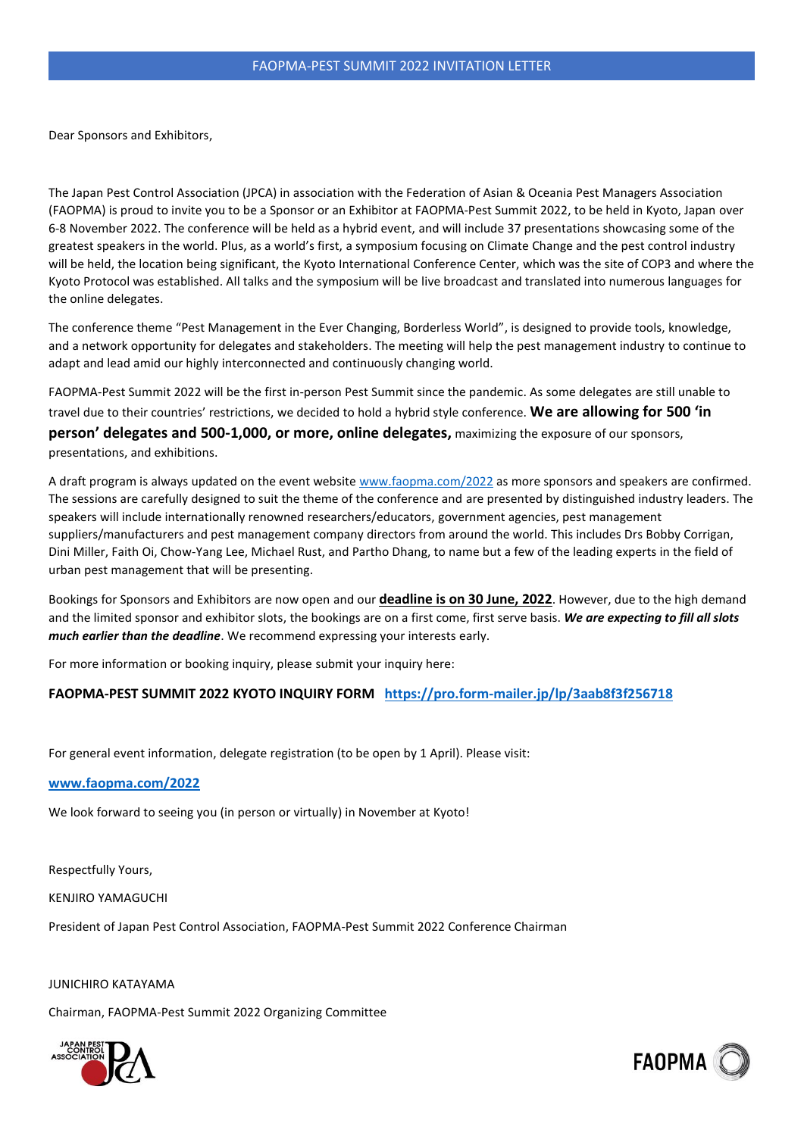Dear Sponsors and Exhibitors,

The Japan Pest Control Association (JPCA) in association with the Federation of Asian & Oceania Pest Managers Association (FAOPMA) is proud to invite you to be a Sponsor or an Exhibitor at FAOPMA-Pest Summit 2022, to be held in Kyoto, Japan over 6-8 November 2022. The conference will be held as a hybrid event, and will include 37 presentations showcasing some of the greatest speakers in the world. Plus, as a world's first, a symposium focusing on Climate Change and the pest control industry will be held, the location being significant, the Kyoto International Conference Center, which was the site of COP3 and where the Kyoto Protocol was established. All talks and the symposium will be live broadcast and translated into numerous languages for the online delegates.

The conference theme "Pest Management in the Ever Changing, Borderless World", is designed to provide tools, knowledge, and a network opportunity for delegates and stakeholders. The meeting will help the pest management industry to continue to adapt and lead amid our highly interconnected and continuously changing world.

FAOPMA-Pest Summit 2022 will be the first in-person Pest Summit since the pandemic. As some delegates are still unable to travel due to their countries' restrictions, we decided to hold a hybrid style conference. **We are allowing for 500 'in person' delegates and 500-1,000, or more, online delegates,** maximizing the exposure of our sponsors, presentations, and exhibitions.

A draft program is always updated on the event website [www.faopma.com/2022](https://faopma.com/2022/General) as more sponsors and speakers are confirmed. The sessions are carefully designed to suit the theme of the conference and are presented by distinguished industry leaders. The speakers will include internationally renowned researchers/educators, government agencies, pest management suppliers/manufacturers and pest management company directors from around the world. This includes Drs Bobby Corrigan, Dini Miller, Faith Oi, Chow-Yang Lee, Michael Rust, and Partho Dhang, to name but a few of the leading experts in the field of urban pest management that will be presenting.

Bookings for Sponsors and Exhibitors are now open and our **deadline is on 30 June, 2022**. However, due to the high demand and the limited sponsor and exhibitor slots, the bookings are on a first come, first serve basis. *We are expecting to fill all slots much earlier than the deadline*. We recommend expressing your interests early.

For more information or booking inquiry, please submit your inquiry here:

## **FAOPMA-PEST SUMMIT 2022 KYOTO INQUIRY FORM <https://pro.form-mailer.jp/lp/3aab8f3f256718>**

For general event information, delegate registration (to be open by 1 April). Please visit:

#### **[www.faopma.com/2022](https://faopma.com/2022/General)**

We look forward to seeing you (in person or virtually) in November at Kyoto!

Respectfully Yours,

KENJIRO YAMAGUCHI

President of Japan Pest Control Association, FAOPMA-Pest Summit 2022 Conference Chairman

JUNICHIRO KATAYAMA

Chairman, FAOPMA-Pest Summit 2022 Organizing Committee



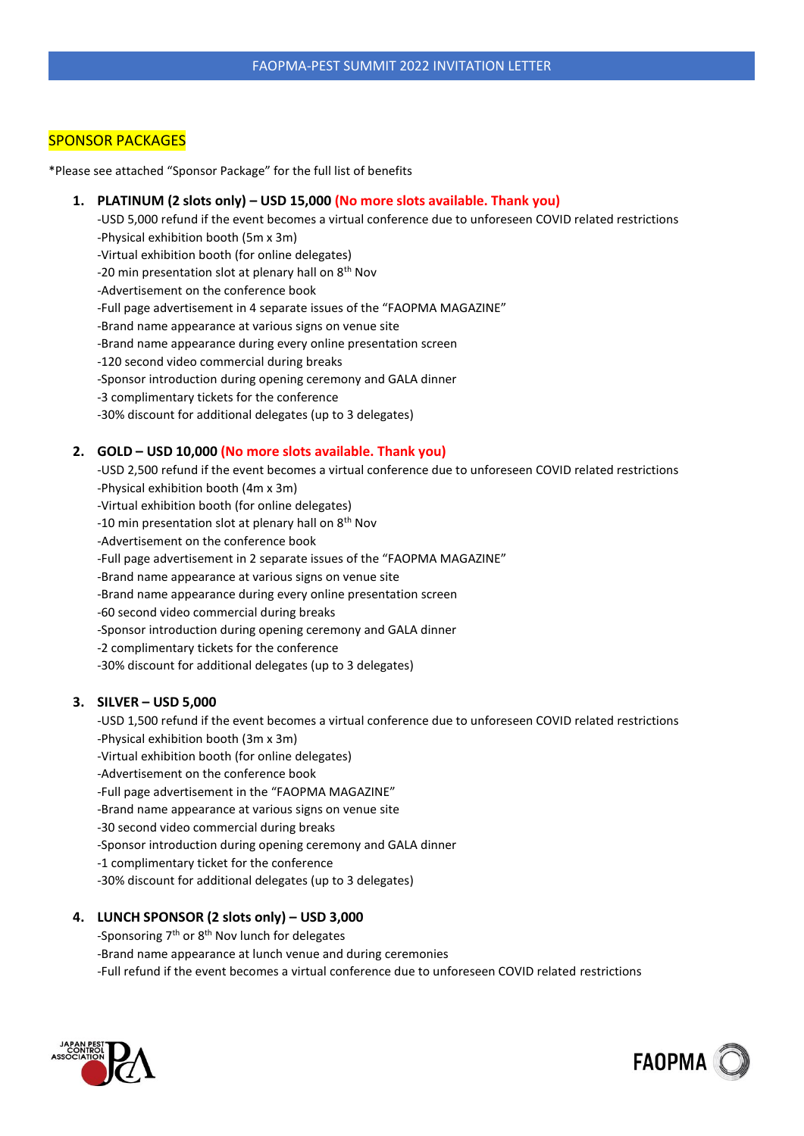# SPONSOR PACKAGES

\*Please see attached "Sponsor Package" for the full list of benefits

## **1. PLATINUM (2 slots only) – USD 15,000 (No more slots available. Thank you)**

-USD 5,000 refund if the event becomes a virtual conference due to unforeseen COVID related restrictions -Physical exhibition booth (5m x 3m)

-Virtual exhibition booth (for online delegates)

-20 min presentation slot at plenary hall on 8<sup>th</sup> Nov

-Advertisement on the conference book

-Full page advertisement in 4 separate issues of the "FAOPMA MAGAZINE"

-Brand name appearance at various signs on venue site

-Brand name appearance during every online presentation screen

-120 second video commercial during breaks

-Sponsor introduction during opening ceremony and GALA dinner

-3 complimentary tickets for the conference

-30% discount for additional delegates (up to 3 delegates)

## **2. GOLD – USD 10,000 (No more slots available. Thank you)**

-USD 2,500 refund if the event becomes a virtual conference due to unforeseen COVID related restrictions -Physical exhibition booth (4m x 3m)

-Virtual exhibition booth (for online delegates)

-10 min presentation slot at plenary hall on 8<sup>th</sup> Nov

-Advertisement on the conference book

-Full page advertisement in 2 separate issues of the "FAOPMA MAGAZINE"

-Brand name appearance at various signs on venue site

-Brand name appearance during every online presentation screen

-60 second video commercial during breaks

-Sponsor introduction during opening ceremony and GALA dinner

-2 complimentary tickets for the conference

-30% discount for additional delegates (up to 3 delegates)

## **3. SILVER – USD 5,000**

-USD 1,500 refund if the event becomes a virtual conference due to unforeseen COVID related restrictions -Physical exhibition booth (3m x 3m)

-Virtual exhibition booth (for online delegates)

-Advertisement on the conference book

-Full page advertisement in the "FAOPMA MAGAZINE"

-Brand name appearance at various signs on venue site

-30 second video commercial during breaks

-Sponsor introduction during opening ceremony and GALA dinner

-1 complimentary ticket for the conference

-30% discount for additional delegates (up to 3 delegates)

#### **4. LUNCH SPONSOR (2 slots only) – USD 3,000**

-Sponsoring 7<sup>th</sup> or 8<sup>th</sup> Nov lunch for delegates

-Brand name appearance at lunch venue and during ceremonies

-Full refund if the event becomes a virtual conference due to unforeseen COVID related restrictions



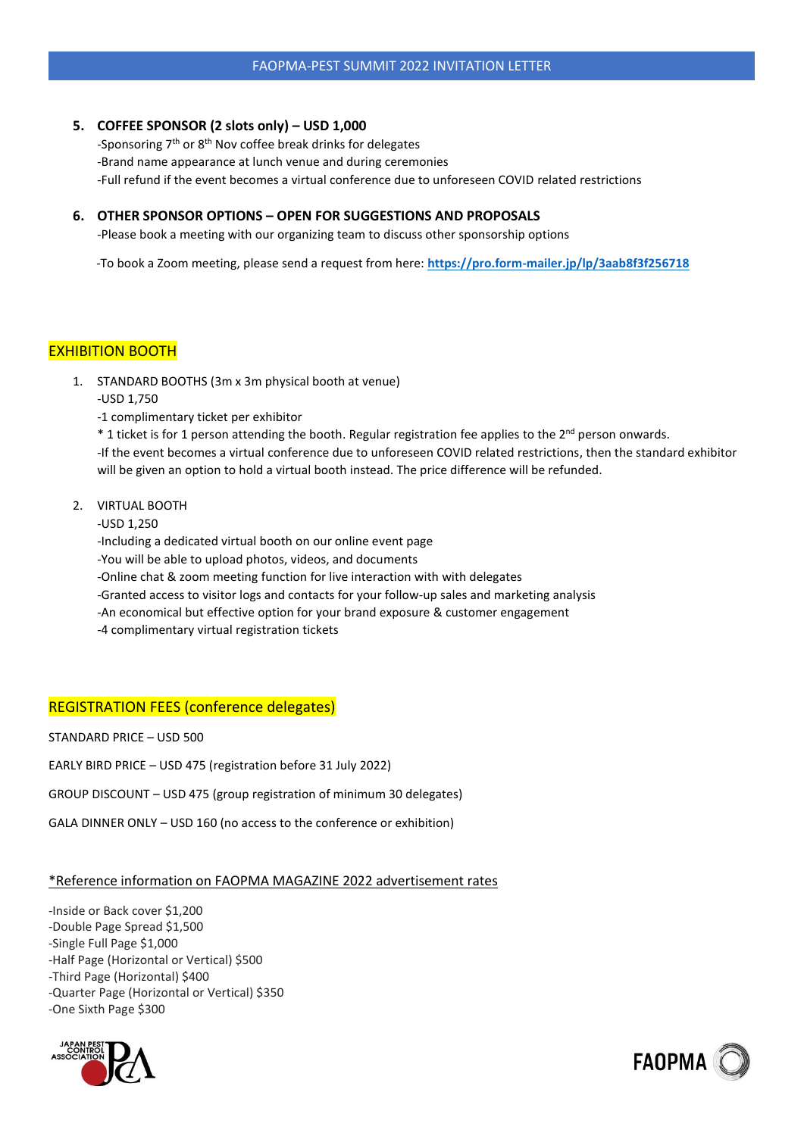## **5. COFFEE SPONSOR (2 slots only) – USD 1,000**

-Sponsoring 7th or 8th Nov coffee break drinks for delegates -Brand name appearance at lunch venue and during ceremonies -Full refund if the event becomes a virtual conference due to unforeseen COVID related restrictions

## **6. OTHER SPONSOR OPTIONS – OPEN FOR SUGGESTIONS AND PROPOSALS**

-Please book a meeting with our organizing team to discuss other sponsorship options

-To book a Zoom meeting, please send a request from here: **<https://pro.form-mailer.jp/lp/3aab8f3f256718>**

# EXHIBITION BOOTH

- 1. STANDARD BOOTHS (3m x 3m physical booth at venue)
	- -USD 1,750

-1 complimentary ticket per exhibitor

\* 1 ticket is for 1 person attending the booth. Regular registration fee applies to the 2<sup>nd</sup> person onwards. -If the event becomes a virtual conference due to unforeseen COVID related restrictions, then the standard exhibitor will be given an option to hold a virtual booth instead. The price difference will be refunded.

2. VIRTUAL BOOTH

-USD 1,250

-Including a dedicated virtual booth on our online event page

- -You will be able to upload photos, videos, and documents
- -Online chat & zoom meeting function for live interaction with with delegates
- -Granted access to visitor logs and contacts for your follow-up sales and marketing analysis
- -An economical but effective option for your brand exposure & customer engagement

-4 complimentary virtual registration tickets

## REGISTRATION FEES (conference delegates)

STANDARD PRICE – USD 500

EARLY BIRD PRICE – USD 475 (registration before 31 July 2022)

GROUP DISCOUNT – USD 475 (group registration of minimum 30 delegates)

GALA DINNER ONLY – USD 160 (no access to the conference or exhibition)

## \*Reference information on FAOPMA MAGAZINE 2022 advertisement rates

-Inside or Back cover \$1,200 -Double Page Spread \$1,500 -Single Full Page \$1,000 -Half Page (Horizontal or Vertical) \$500 -Third Page (Horizontal) \$400 -Quarter Page (Horizontal or Vertical) \$350 -One Sixth Page \$300